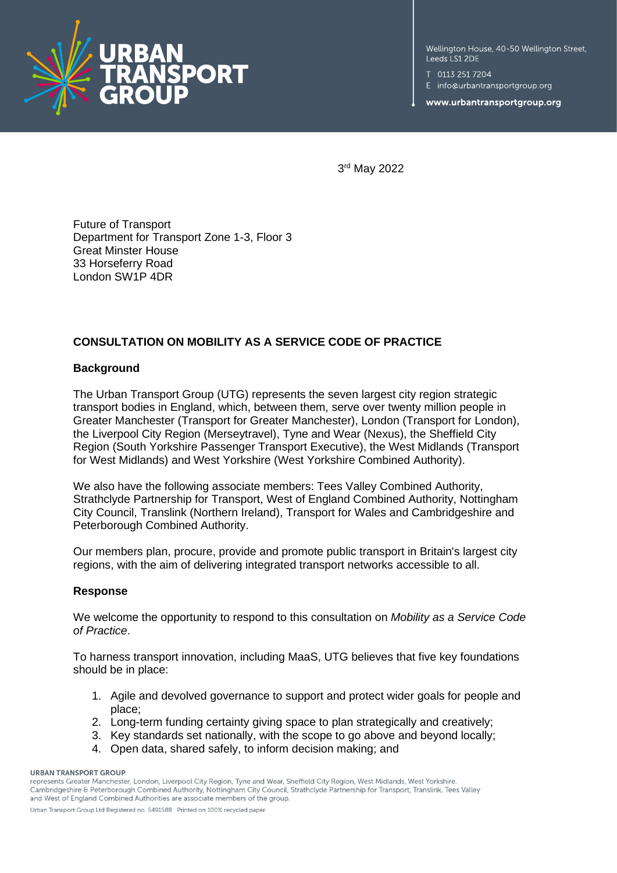

Wellington House, 40-50 Wellington Street, Leeds LS1 2DE

T 0113 251 7204

E info@urbantransportgroup.org

www.urbantransportgroup.org

3 rd May 2022

Future of Transport Department for Transport Zone 1-3, Floor 3 Great Minster House 33 Horseferry Road London SW1P 4DR

## **CONSULTATION ON MOBILITY AS A SERVICE CODE OF PRACTICE**

## **Background**

The Urban Transport Group (UTG) represents the seven largest city region strategic transport bodies in England, which, between them, serve over twenty million people in Greater Manchester (Transport for Greater Manchester), London (Transport for London), the Liverpool City Region (Merseytravel), Tyne and Wear (Nexus), the Sheffield City Region (South Yorkshire Passenger Transport Executive), the West Midlands (Transport for West Midlands) and West Yorkshire (West Yorkshire Combined Authority).

We also have the following associate members: Tees Valley Combined Authority, Strathclyde Partnership for Transport, West of England Combined Authority, Nottingham City Council, Translink (Northern Ireland), Transport for Wales and Cambridgeshire and Peterborough Combined Authority.

Our members plan, procure, provide and promote public transport in Britain's largest city regions, with the aim of delivering integrated transport networks accessible to all.

## **Response**

We welcome the opportunity to respond to this consultation on *Mobility as a Service Code of Practice*.

To harness transport innovation, including MaaS, UTG believes that five key foundations should be in place:

- 1. Agile and devolved governance to support and protect wider goals for people and place;
- 2. Long-term funding certainty giving space to plan strategically and creatively;
- 3. Key standards set nationally, with the scope to go above and beyond locally;
- 4. Open data, shared safely, to inform decision making; and

## **URBAN TRANSPORT GROUP**

represents Greater Manchester, London, Liverpool City Region, Tyne and Wear, Sheffield City Region, West Midlands, West Yorkshire, Cambridgeshire & Peterborough Combined Authority, Nottingham City Council, Strathclyde Partnership for Transport, Translink, Tees Valley and West of England Combined Authorities are associate members of the group. Urban Transport Group Ltd Registered no. 5491588 Printed on 100% recycled paper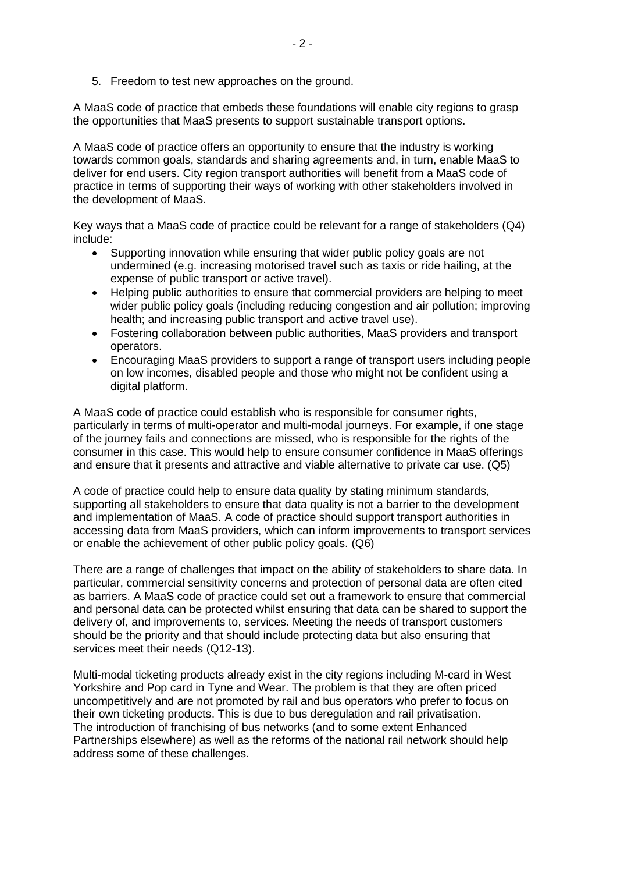5. Freedom to test new approaches on the ground.

A MaaS code of practice that embeds these foundations will enable city regions to grasp the opportunities that MaaS presents to support sustainable transport options.

A MaaS code of practice offers an opportunity to ensure that the industry is working towards common goals, standards and sharing agreements and, in turn, enable MaaS to deliver for end users. City region transport authorities will benefit from a MaaS code of practice in terms of supporting their ways of working with other stakeholders involved in the development of MaaS.

Key ways that a MaaS code of practice could be relevant for a range of stakeholders (Q4) include:

- Supporting innovation while ensuring that wider public policy goals are not undermined (e.g. increasing motorised travel such as taxis or ride hailing, at the expense of public transport or active travel).
- Helping public authorities to ensure that commercial providers are helping to meet wider public policy goals (including reducing congestion and air pollution; improving health; and increasing public transport and active travel use).
- Fostering collaboration between public authorities, MaaS providers and transport operators.
- Encouraging MaaS providers to support a range of transport users including people on low incomes, disabled people and those who might not be confident using a digital platform.

A MaaS code of practice could establish who is responsible for consumer rights, particularly in terms of multi-operator and multi-modal journeys. For example, if one stage of the journey fails and connections are missed, who is responsible for the rights of the consumer in this case. This would help to ensure consumer confidence in MaaS offerings and ensure that it presents and attractive and viable alternative to private car use. (Q5)

A code of practice could help to ensure data quality by stating minimum standards, supporting all stakeholders to ensure that data quality is not a barrier to the development and implementation of MaaS. A code of practice should support transport authorities in accessing data from MaaS providers, which can inform improvements to transport services or enable the achievement of other public policy goals. (Q6)

There are a range of challenges that impact on the ability of stakeholders to share data. In particular, commercial sensitivity concerns and protection of personal data are often cited as barriers. A MaaS code of practice could set out a framework to ensure that commercial and personal data can be protected whilst ensuring that data can be shared to support the delivery of, and improvements to, services. Meeting the needs of transport customers should be the priority and that should include protecting data but also ensuring that services meet their needs (Q12-13).

Multi-modal ticketing products already exist in the city regions including M-card in West Yorkshire and Pop card in Tyne and Wear. The problem is that they are often priced uncompetitively and are not promoted by rail and bus operators who prefer to focus on their own ticketing products. This is due to bus deregulation and rail privatisation. The introduction of franchising of bus networks (and to some extent Enhanced Partnerships elsewhere) as well as the reforms of the national rail network should help address some of these challenges.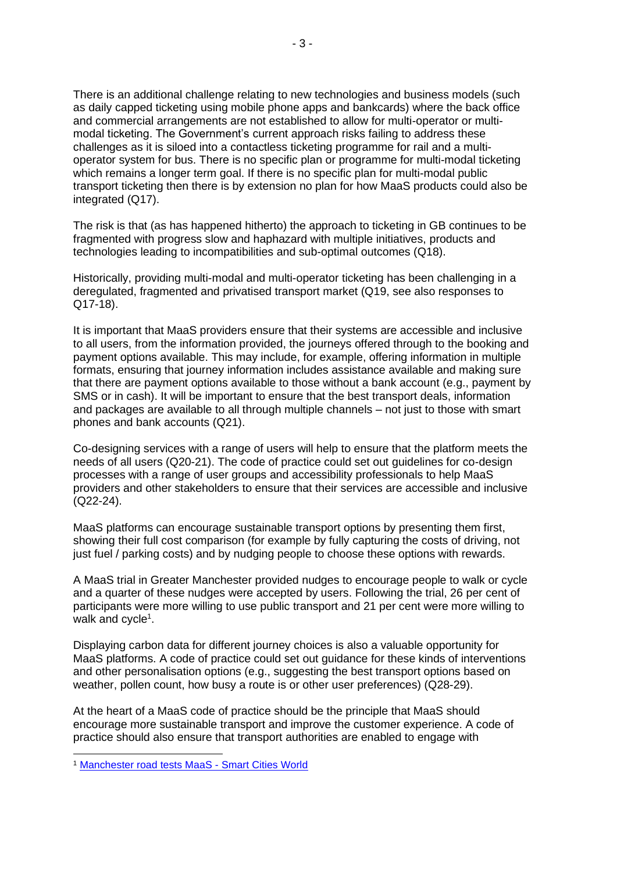There is an additional challenge relating to new technologies and business models (such as daily capped ticketing using mobile phone apps and bankcards) where the back office and commercial arrangements are not established to allow for multi-operator or multimodal ticketing. The Government's current approach risks failing to address these challenges as it is siloed into a contactless ticketing programme for rail and a multioperator system for bus. There is no specific plan or programme for multi-modal ticketing which remains a longer term goal. If there is no specific plan for multi-modal public transport ticketing then there is by extension no plan for how MaaS products could also be integrated (Q17).

The risk is that (as has happened hitherto) the approach to ticketing in GB continues to be fragmented with progress slow and haphazard with multiple initiatives, products and technologies leading to incompatibilities and sub-optimal outcomes (Q18).

Historically, providing multi-modal and multi-operator ticketing has been challenging in a deregulated, fragmented and privatised transport market (Q19, see also responses to Q17-18).

It is important that MaaS providers ensure that their systems are accessible and inclusive to all users, from the information provided, the journeys offered through to the booking and payment options available. This may include, for example, offering information in multiple formats, ensuring that journey information includes assistance available and making sure that there are payment options available to those without a bank account (e.g., payment by SMS or in cash). It will be important to ensure that the best transport deals, information and packages are available to all through multiple channels – not just to those with smart phones and bank accounts (Q21).

Co-designing services with a range of users will help to ensure that the platform meets the needs of all users (Q20-21). The code of practice could set out guidelines for co-design processes with a range of user groups and accessibility professionals to help MaaS providers and other stakeholders to ensure that their services are accessible and inclusive (Q22-24).

MaaS platforms can encourage sustainable transport options by presenting them first, showing their full cost comparison (for example by fully capturing the costs of driving, not just fuel / parking costs) and by nudging people to choose these options with rewards.

A MaaS trial in Greater Manchester provided nudges to encourage people to walk or cycle and a quarter of these nudges were accepted by users. Following the trial, 26 per cent of participants were more willing to use public transport and 21 per cent were more willing to walk and cycle<sup>1</sup>.

Displaying carbon data for different journey choices is also a valuable opportunity for MaaS platforms. A code of practice could set out guidance for these kinds of interventions and other personalisation options (e.g., suggesting the best transport options based on weather, pollen count, how busy a route is or other user preferences) (Q28-29).

At the heart of a MaaS code of practice should be the principle that MaaS should encourage more sustainable transport and improve the customer experience. A code of practice should also ensure that transport authorities are enabled to engage with

<sup>1</sup> [Manchester road tests MaaS -](https://www.smartcitiesworld.net/special-reports/special-reports/manchester-road-tests-maas) Smart Cities World